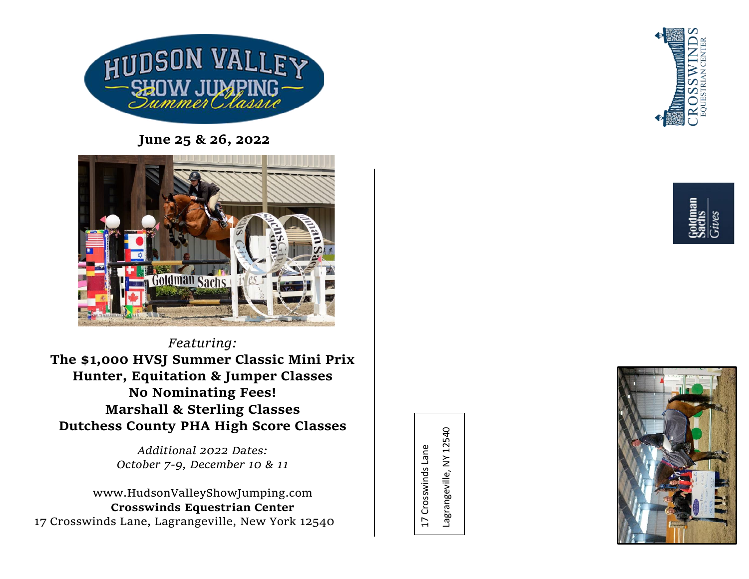

**June 25 & 26, 2022**



*Featuring:*  **The \$1,000 HVSJ Summer Classic Mini Prix Hunter, Equitation & Jumper Classes No Nominating Fees! Marshall & Sterling Classes Dutchess County PHA High Score Classes**

> *Additional 2022 Dates: October 7-9, December 10 & 11*

www.HudsonValleyShowJumping.com **Crosswinds Equestrian Center** 17 Crosswinds Lane, Lagrangeville, New York 12540

Lagrangeville, NY 12540 Lagrangeville, NY 1254017 Crosswinds Lane 17 Crosswinds Lane